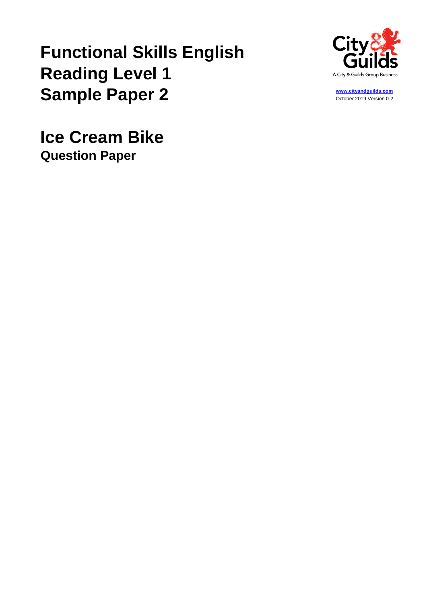# **Functional Skills English Reading Level 1 Sample Paper 2**



**[www.cityandguilds.com](http://www.cityandguilds.com/)** October 2019 Version 0-2

**Ice Cream Bike Question Paper**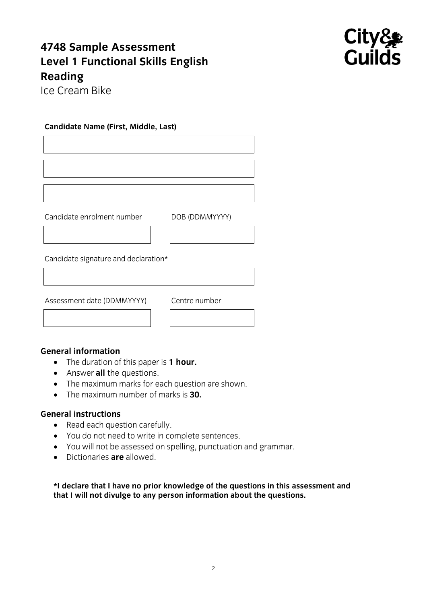# **4748 Sample Assessment Reading**



**Ice Cream Bike** Ice Cream Bike

### **Candidate Name (First, Middle, Last)**

candidate enrolment number dobby the conditions of the conditions of the conditions of the conditions of the c

Candidate signature and declaration\*

 $\overline{\phantom{a}}$ 

- The duration of this paper is **1 hour.**<br>• Answer all the questions
	- Answer **all** the questions.
	- The maximum marks for each question are shown.
	- The maximum number of marks is **30.**

### **General instructions**

- Read each question carefully.
	- You do not need to write in complete sentences.
	- You will not be assessed on spelling, punctuation and grammar.
	- Dictionaries **are** allowed.

**\*I declare that I have no prior knowledge of the questions in this assessment and that I will not divulge to any person information about the questions.**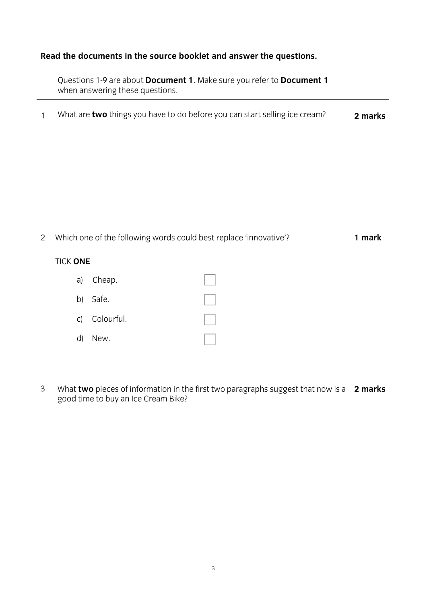### **Read the documents in the source booklet and answer the questions.**

questions 1-9 are about **Document 1-9 are about 1**. Make  $\alpha$  **Document** 1. Make  $\alpha$  **1. Make 1. Make 1. Make 1. Make 1. Make 1. Make 1. Make 1. Make 1. Make 1. Make 1. Make 1. Make 1. Make 1. Make 1. Make 1. Make 1. Make** when answering these questions.

<sup>1</sup> What are **two** things you have to do before you can start selling ice cream? **2 marks**

2 Which one of the following words could best replace 'innovative'?

## TICK **ONE**

|              | a) Cheap.     |  |
|--------------|---------------|--|
|              | b) Safe.      |  |
|              | c) Colourful. |  |
| $\mathsf{d}$ | New.          |  |

3 What **two** pieces of information in the first two paragraphs suggest that now is a  $\sigma$  the time  $\sigma$ What **two** pieces of information in the first two paragraphs suggest that now is a 2 marks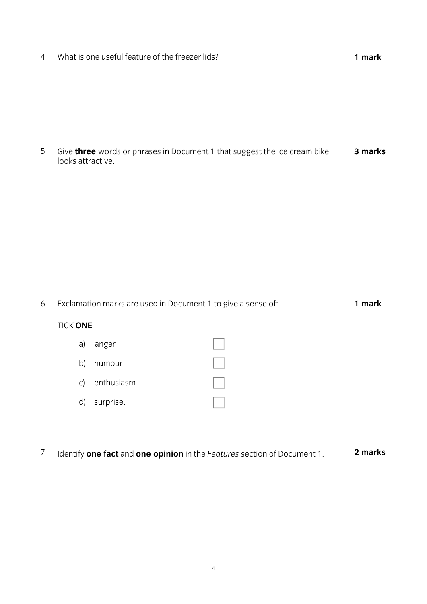$\overline{4}$ 4 What is one useful feature of the freezer lids? **1 mark** 

5 Give **three** words or phrases in Document 1 that suggest the ice cream bike looks attractive. **3 marks**

6 Exclamation marks are used in Document 1 to give a sense of: 1 mark TICK **ONE** a) anger b) humour c) enthusiasm d) surprise.

7 Identify **one fact** and **one opinion** in the *Features* section of Document 1. **2 marks**2 marks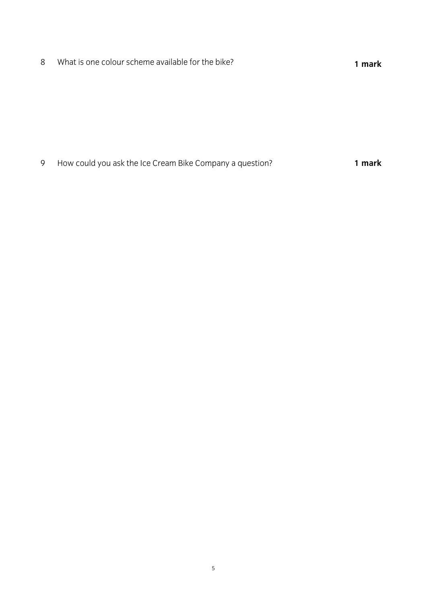What is one colour scheme available for the bike? **1 mark**

How could you ask the Ice Cream Bike Company a question? **1 mark**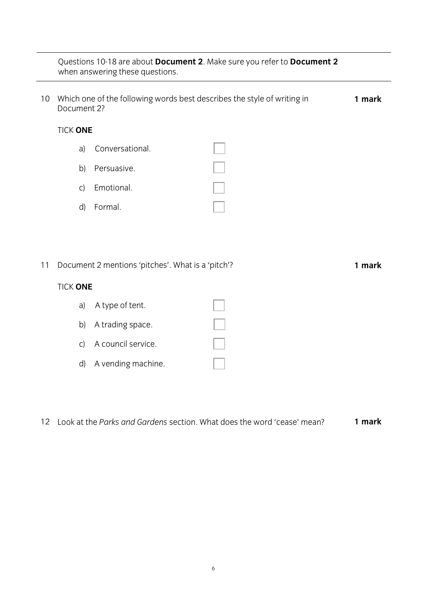### Questions 10-18 are about **Document 2**. Make sure you refer to **Document 2** when answering these questions.

| 10 | Which one of the following words best describes the style of writing in<br>Document 2? |                    |  |  |  |
|----|----------------------------------------------------------------------------------------|--------------------|--|--|--|
|    | <b>TICK ONE</b>                                                                        |                    |  |  |  |
|    | a)                                                                                     | Conversational.    |  |  |  |
|    | b)                                                                                     | Persuasive.        |  |  |  |
|    | C)                                                                                     | Emotional.         |  |  |  |
|    | $\mathsf{d}$                                                                           | Formal.            |  |  |  |
|    |                                                                                        |                    |  |  |  |
|    |                                                                                        |                    |  |  |  |
| 11 | Document 2 mentions 'pitches'. What is a 'pitch'?<br>1 mark                            |                    |  |  |  |
|    | <b>TICK ONE</b>                                                                        |                    |  |  |  |
|    | a)                                                                                     | A type of tent.    |  |  |  |
|    | b)                                                                                     | A trading space.   |  |  |  |
|    | $\mathsf{C}$                                                                           | A council service. |  |  |  |

12 Look at the *Parks and Gardens* section. What does the word 'cease' mean? **1 mark**

d) A vending machine.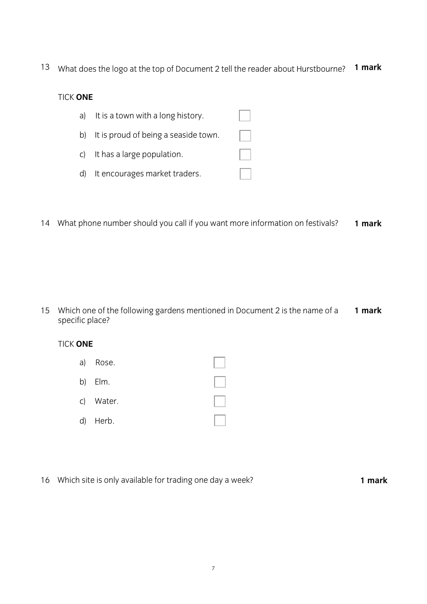13 What does the logo at the top of Document 2 tell the reader about Hurstbourne? **1 mark**

## **TICK ONE** TICK **ONE** a) It is a town with a long history. b) It is proud of being a seaside town. c) It has a large population. d) It encourages market traders.

14 What phone number should you call if you want more information on festivals? **1 mark**

1 mark 15 Which one of the following gardens mentioned in Document 2 is the name of a specific place?

#### **TICK ONE** TICK **ONE**

- $\overline{\phantom{a}}$  $\mathbf{E}$ c) Water.  $\ddot{\phantom{1}}$
- 16 Which site is only available for trading one day a week? **1 mark**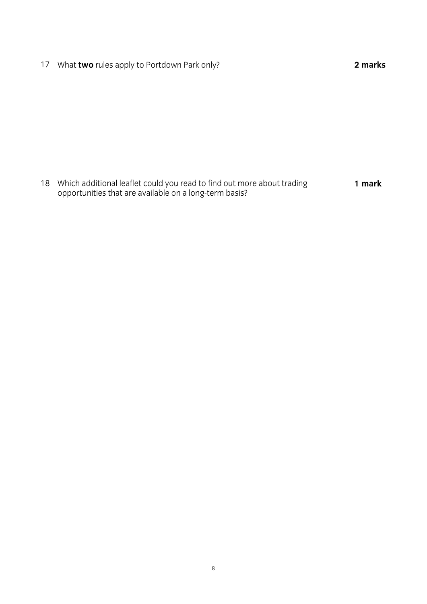17 What **two** rules apply to Portdown Park only? **2 marks**

 $\frac{1}{8}$  onnortunities that are available on a long-term hasis?  $\mathcal{O}_p$  or a long-term basis that are available on a long-term basis  $\mathcal{O}_p$ **1 mark**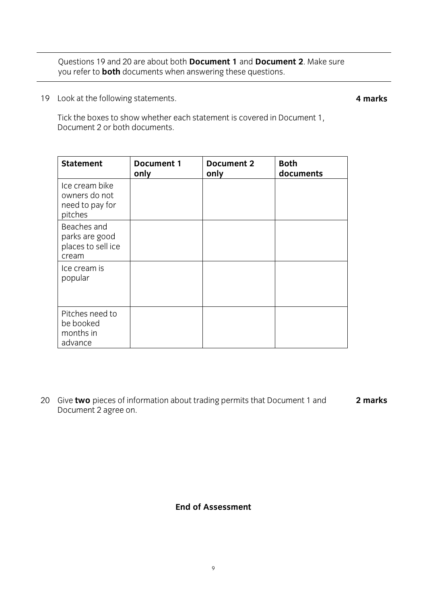<u>Luccions 19 and 20 and 20 and 20 and 20 and 20 and 20 and 20 and 20 and 20 and 20 and 20 and 20 and 20 and 20 and 20 and 20 and 20 and 20 and 20 and 20 and 20 and 20 and 20 and 20 and 20 and 20 and 20 and 20 and 20 and 20</u> you refer to **both** documents when answering these questions.

19 Look at the following statements.

**4 marks**

Tick the boxes to show whether each statement is covered in Document 1, Document 2 or both documents. Document 2 or both documents.

| <b>Statement</b>                                              | <b>Document 1</b><br>only | Document 2<br>only | <b>Both</b><br>documents |
|---------------------------------------------------------------|---------------------------|--------------------|--------------------------|
| Ice cream bike<br>owners do not<br>need to pay for<br>pitches |                           |                    |                          |
| Beaches and<br>parks are good<br>places to sell ice<br>cream  |                           |                    |                          |
| Ice cream is<br>popular                                       |                           |                    |                          |
| Pitches need to<br>be booked<br>months in<br>advance          |                           |                    |                          |

2 marks 20 Give **two** pieces of information about trading permits that Document 1 and **2 marks**  $\mathcal{L}$  and  $\mathcal{L}$  are one.

### **End of Assessment End of Assessment**